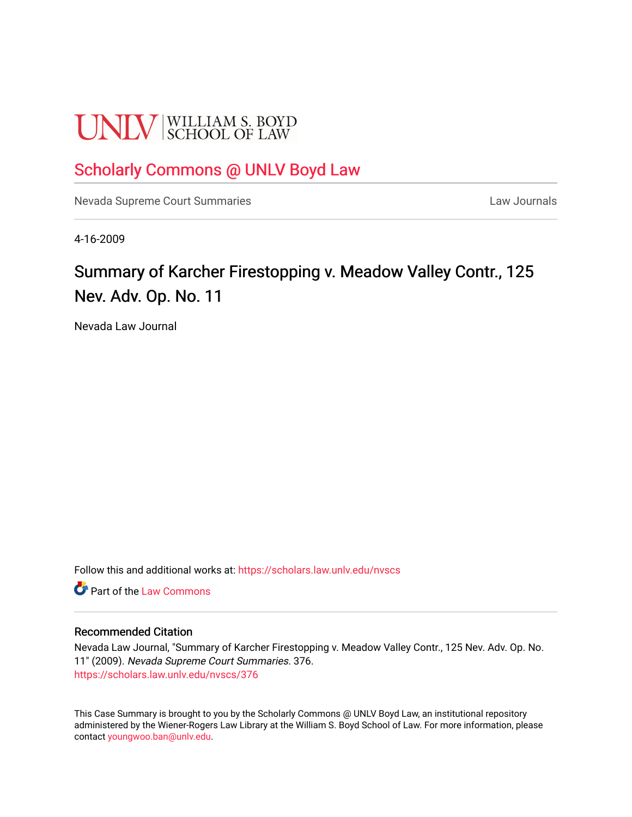# **UNLV** SCHOOL OF LAW

## [Scholarly Commons @ UNLV Boyd Law](https://scholars.law.unlv.edu/)

[Nevada Supreme Court Summaries](https://scholars.law.unlv.edu/nvscs) **Law Journals** Law Journals

4-16-2009

# Summary of Karcher Firestopping v. Meadow Valley Contr., 125 Nev. Adv. Op. No. 11

Nevada Law Journal

Follow this and additional works at: [https://scholars.law.unlv.edu/nvscs](https://scholars.law.unlv.edu/nvscs?utm_source=scholars.law.unlv.edu%2Fnvscs%2F376&utm_medium=PDF&utm_campaign=PDFCoverPages)

**C** Part of the [Law Commons](http://network.bepress.com/hgg/discipline/578?utm_source=scholars.law.unlv.edu%2Fnvscs%2F376&utm_medium=PDF&utm_campaign=PDFCoverPages)

#### Recommended Citation

Nevada Law Journal, "Summary of Karcher Firestopping v. Meadow Valley Contr., 125 Nev. Adv. Op. No. 11" (2009). Nevada Supreme Court Summaries. 376. [https://scholars.law.unlv.edu/nvscs/376](https://scholars.law.unlv.edu/nvscs/376?utm_source=scholars.law.unlv.edu%2Fnvscs%2F376&utm_medium=PDF&utm_campaign=PDFCoverPages)

This Case Summary is brought to you by the Scholarly Commons @ UNLV Boyd Law, an institutional repository administered by the Wiener-Rogers Law Library at the William S. Boyd School of Law. For more information, please contact [youngwoo.ban@unlv.edu](mailto:youngwoo.ban@unlv.edu).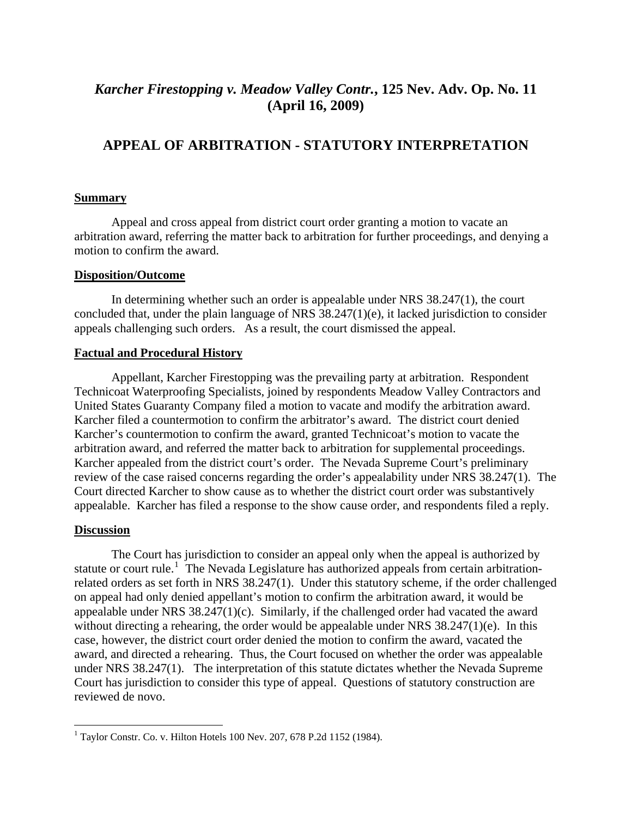## *Karcher Firestopping v. Meadow Valley Contr.***, 125 Nev. Adv. Op. No. 11 (April 16, 2009)**

### **APPEAL OF ARBITRATION - STATUTORY INTERPRETATION**

#### **Summary**

Appeal and cross appeal from district court order granting a motion to vacate an arbitration award, referring the matter back to arbitration for further proceedings, and denying a motion to confirm the award.

#### **Disposition/Outcome**

 In determining whether such an order is appealable under NRS 38.247(1), the court concluded that, under the plain language of NRS 38.247(1)(e), it lacked jurisdiction to consider appeals challenging such orders. As a result, the court dismissed the appeal.

#### **Factual and Procedural History**

 Appellant, Karcher Firestopping was the prevailing party at arbitration. Respondent Technicoat Waterproofing Specialists, joined by respondents Meadow Valley Contractors and United States Guaranty Company filed a motion to vacate and modify the arbitration award. Karcher filed a countermotion to confirm the arbitrator's award. The district court denied Karcher's countermotion to confirm the award, granted Technicoat's motion to vacate the arbitration award, and referred the matter back to arbitration for supplemental proceedings. Karcher appealed from the district court's order. The Nevada Supreme Court's preliminary review of the case raised concerns regarding the order's appealability under NRS 38.247(1). The Court directed Karcher to show cause as to whether the district court order was substantively appealable. Karcher has filed a response to the show cause order, and respondents filed a reply.

#### **Discussion**

 The Court has jurisdiction to consider an appeal only when the appeal is authorized by statute or court rule.<sup>[1](#page-1-0)</sup> The Nevada Legislature has authorized appeals from certain arbitrationrelated orders as set forth in NRS 38.247(1). Under this statutory scheme, if the order challenged on appeal had only denied appellant's motion to confirm the arbitration award, it would be appealable under NRS 38.247(1)(c). Similarly, if the challenged order had vacated the award without directing a rehearing, the order would be appealable under NRS 38.247(1)(e). In this case, however, the district court order denied the motion to confirm the award, vacated the award, and directed a rehearing. Thus, the Court focused on whether the order was appealable under NRS 38.247(1). The interpretation of this statute dictates whether the Nevada Supreme Court has jurisdiction to consider this type of appeal. Questions of statutory construction are reviewed de novo.

<span id="page-1-0"></span> <sup>1</sup> Taylor Constr. Co. v. Hilton Hotels 100 Nev. 207, 678 P.2d 1152 (1984).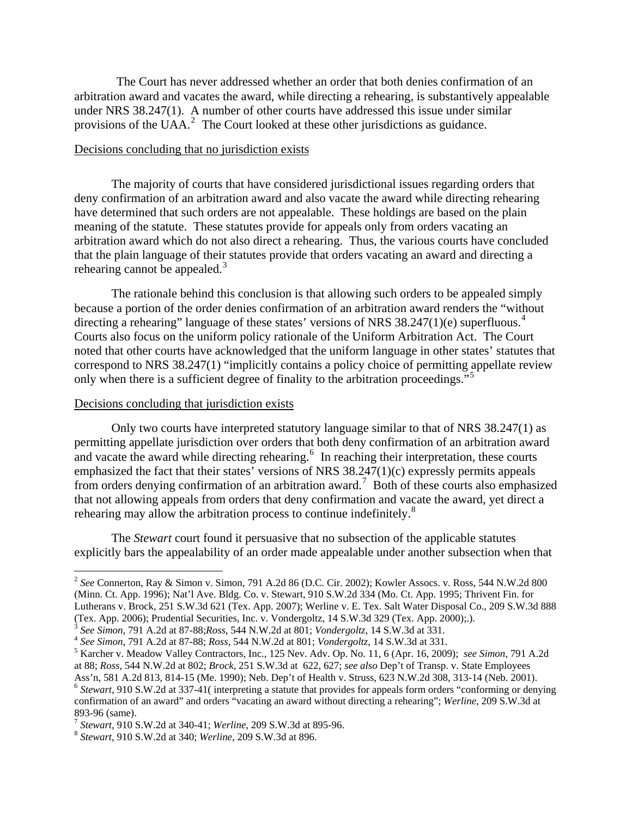The Court has never addressed whether an order that both denies confirmation of an arbitration award and vacates the award, while directing a rehearing, is substantively appealable under NRS 38.247(1). A number of other courts have addressed this issue under similar provisions of the UAA. $^2$  $^2$  The Court looked at these other jurisdictions as guidance.

#### Decisions concluding that no jurisdiction exists

The majority of courts that have considered jurisdictional issues regarding orders that deny confirmation of an arbitration award and also vacate the award while directing rehearing have determined that such orders are not appealable. These holdings are based on the plain meaning of the statute. These statutes provide for appeals only from orders vacating an arbitration award which do not also direct a rehearing. Thus, the various courts have concluded that the plain language of their statutes provide that orders vacating an award and directing a rehearing cannot be appealed. $3$ 

The rationale behind this conclusion is that allowing such orders to be appealed simply because a portion of the order denies confirmation of an arbitration award renders the "without directing a rehearing" language of these states' versions of NRS 38.2[4](#page-2-2)7(1)(e) superfluous.<sup>4</sup> Courts also focus on the uniform policy rationale of the Uniform Arbitration Act. The Court noted that other courts have acknowledged that the uniform language in other states' statutes that correspond to NRS 38.247(1) "implicitly contains a policy choice of permitting appellate review only when there is a sufficient degree of finality to the arbitration proceedings."[5](#page-2-3)

#### Decisions concluding that jurisdiction exists

Only two courts have interpreted statutory language similar to that of NRS 38.247(1) as permitting appellate jurisdiction over orders that both deny confirmation of an arbitration award and vacate the award while directing rehearing.<sup>[6](#page-2-4)</sup> In reaching their interpretation, these courts emphasized the fact that their states' versions of NRS  $38.247(1)(c)$  expressly permits appeals from orders denying confirmation of an arbitration award.<sup>[7](#page-2-5)</sup> Both of these courts also emphasized that not allowing appeals from orders that deny confirmation and vacate the award, yet direct a rehearing may allow the arbitration process to continue indefinitely.<sup>[8](#page-2-6)</sup>

The *Stewart* court found it persuasive that no subsection of the applicable statutes explicitly bars the appealability of an order made appealable under another subsection when that

<span id="page-2-0"></span><sup>2</sup> *See* Connerton, Ray & Simon v. Simon, 791 A.2d 86 (D.C. Cir. 2002); Kowler Assocs. v. Ross, 544 N.W.2d 800 (Minn. Ct. App. 1996); Nat'l Ave. Bldg. Co. v. Stewart, 910 S.W.2d 334 (Mo. Ct. App. 1995; Thrivent Fin. for Lutherans v. Brock, 251 S.W.3d 621 (Tex. App. 2007); Werline v. E. Tex. Salt Water Disposal Co., 209 S.W.3d 888 (Tex. App. 2006); Prudential Securities, Inc. v. Vondergoltz, 14 S.W.3d 329 (Tex. App. 2000); ).

<span id="page-2-2"></span><span id="page-2-1"></span><sup>&</sup>lt;sup>3</sup> See Simon, 791 A.2d at 87-88; Ross, 544 N.W.2d at 801; *Vondergoltz*, 14 S.W.3d at 331.<br><sup>4</sup> See Simon, 791 A.2d at 87-88; Ross, 544 N.W.2d at 801; *Vondergoltz*, 14 S.W.3d at 331.

<span id="page-2-3"></span>Karcher v. Meadow Valley Contractors, Inc., 125 Nev. Adv. Op. No. 11, 6 (Apr. 16, 2009); *see Simon*, 791 A.2d at 88; *Ross*, 544 N.W.2d at 802; *Brock*, 251 S.W.3d at 622, 627; *see also* Dep't of Transp. v. State Employees

<span id="page-2-4"></span>Ass'n, 581 A.2d 813, 814-15 (Me. 1990); Neb. Dep't of Health v. Struss, 623 N.W.2d 308, 313-14 (Neb. 2001). <sup>6</sup> Stewart, 910 S.W.2d at 337-41( interpreting a statute that provides for appeals form orders "conforming or denying confirmation of an award" and orders "vacating an award without directing a rehearing"; *Werline*, 209 S.W.3d at 893-96 (same).

<span id="page-2-5"></span><sup>7</sup> *Stewart*, 910 S.W.2d at 340-41; *Werline*, 209 S.W.3d at 895-96. 8 *Stewart*, 910 S.W.2d at 340; *Werline*, 209 S.W.3d at 896.

<span id="page-2-6"></span>